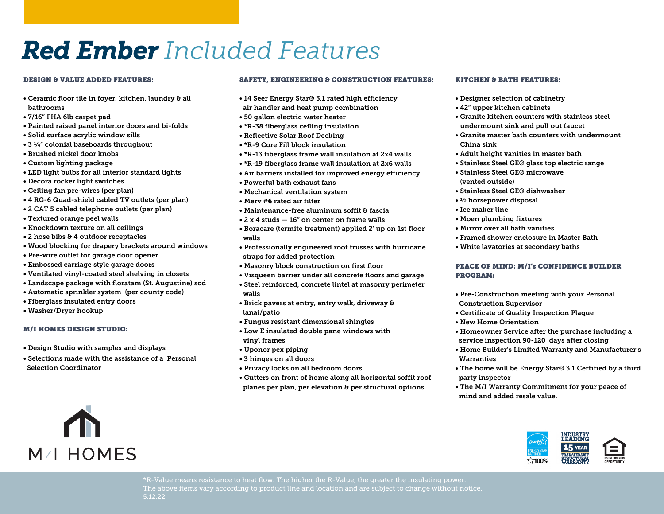# *Red Ember Included Features*

#### DESIGN & VALUE ADDED FEATURES:

- Ceramic floor tile in foyer, kitchen, laundry & all bathrooms
- 7/16" FHA 6lb carpet pad
- Painted raised panel interior doors and bi-folds
- Solid surface acrylic window sills
- 3 ¼" colonial baseboards throughout
- Brushed nickel door knobs
- Custom lighting package
- LED light bulbs for all interior standard lights
- Decora rocker light switches
- Ceiling fan pre-wires (per plan)
- 4 RG-6 Quad-shield cabled TV outlets (per plan)
- 2 CAT 5 cabled telephone outlets (per plan)
- Textured orange peel walls
- Knockdown texture on all ceilings
- 2 hose bibs & 4 outdoor receptacles
- Wood blocking for drapery brackets around windows
- Pre-wire outlet for garage door opener
- Embossed carriage style garage doors
- Ventilated vinyl-coated steel shelving in closets
- Landscape package with floratam (St. Augustine) sod
- Automatic sprinkler system (per county code)
- Fiberglass insulated entry doors
- Washer/Dryer hookup

#### M/I HOMES DESIGN STUDIO:

M/I HOMES

- Design Studio with samples and displays
- Selections made with the assistance of a Personal Selection Coordinator

#### SAFETY, ENGINEERING & CONSTRUCTION FEATURES:

- 14 Seer Energy Star® 3.1 rated high efficiency air handler and heat pump combination
- 50 gallon electric water heater
- \*R-38 fiberglass ceiling insulation
- Reflective Solar Roof Decking
- \*R-9 Core Fill block insulation
- \*R-13 fiberglass frame wall insulation at 2x4 walls
- \*R-19 fiberglass frame wall insulation at 2x6 walls
- Air barriers installed for improved energy efficiency
- Powerful bath exhaust fans
- Mechanical ventilation system
- Merv #6 rated air filter
- Maintenance-free aluminum soffit & fascia
- 2 x 4 studs 16" on center on frame walls
- Boracare (termite treatment) applied 2' up on 1st floor walls
- Professionally engineered roof trusses with hurricane straps for added protection
- Masonry block construction on first floor
- Visqueen barrier under all concrete floors and garage
- Steel reinforced, concrete lintel at masonry perimeter walls
- Brick pavers at entry, entry walk, driveway & lanai/patio
- Fungus resistant dimensional shingles
- Low E insulated double pane windows with vinyl frames
- Uponor pex piping
- 3 hinges on all doors
- Privacy locks on all bedroom doors
- Gutters on front of home along all horizontal soffit roof planes per plan, per elevation & per structural options

#### KITCHEN & BATH FEATURES:

- Designer selection of cabinetry
- 42" upper kitchen cabinets
- Granite kitchen counters with stainless steel undermount sink and pull out faucet
- Granite master bath counters with undermount China sink
- Adult height vanities in master bath
- Stainless Steel GE® glass top electric range
- Stainless Steel GE® microwave (vented outside)
- Stainless Steel GE® dishwasher
- ½ horsepower disposal
- Ice maker line
- Moen plumbing fixtures
- Mirror over all bath vanities
- Framed shower enclosure in Master Bath
- White lavatories at secondary baths

#### PEACE OF MIND: M/I's CONFIDENCE BUILDER PROGRAM:

- Pre-Construction meeting with your Personal Construction Supervisor
- Certificate of Quality Inspection Plaque
- New Home Orientation
- Homeowner Service after the purchase including a service inspection 90-120 days after closing
- Home Builder's Limited Warranty and Manufacturer's **Warranties**
- The home will be Energy Star® 3.1 Certified by a third party inspector
- The M/I Warranty Commitment for your peace of mind and added resale value.